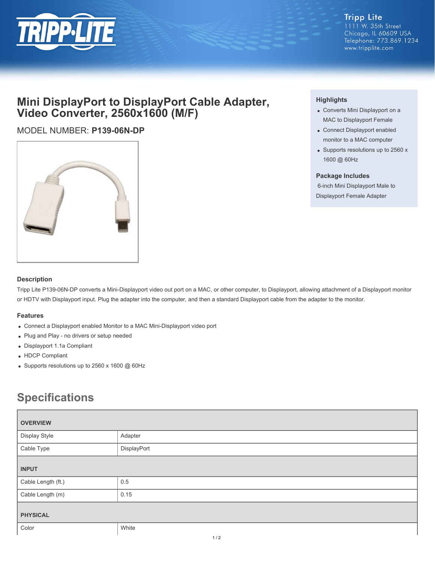

## **Mini DisplayPort to DisplayPort Cable Adapter, Video Converter, 2560x1600 (M/F)**

### MODEL NUMBER: **P139-06N-DP**



#### **Highlights**

- Converts Mini Displayport on a MAC to Displayport Female
- Connect Displayport enabled monitor to a MAC computer
- Supports resolutions up to 2560 x 1600 @ 60Hz

#### **Package Includes**

 6-inch Mini Displayport Male to Displayport Female Adapter

#### **Description**

Tripp Lite P139-06N-DP converts a Mini-Displayport video out port on a MAC, or other computer, to Displayport, allowing attachment of a Displayport monitor or HDTV with Displayport input. Plug the adapter into the computer, and then a standard Displayport cable from the adapter to the monitor.

#### **Features**

- Connect a Displayport enabled Monitor to a MAC Mini-Displayport video port
- Plug and Play no drivers or setup needed
- Displayport 1.1a Compliant
- HDCP Compliant
- Supports resolutions up to 2560 x 1600 @ 60Hz

# **Specifications**

| <b>OVERVIEW</b>    |             |
|--------------------|-------------|
| Display Style      | Adapter     |
| Cable Type         | DisplayPort |
| <b>INPUT</b>       |             |
| Cable Length (ft.) | 0.5         |
| Cable Length (m)   | 0.15        |
| <b>PHYSICAL</b>    |             |
| Color              | White       |